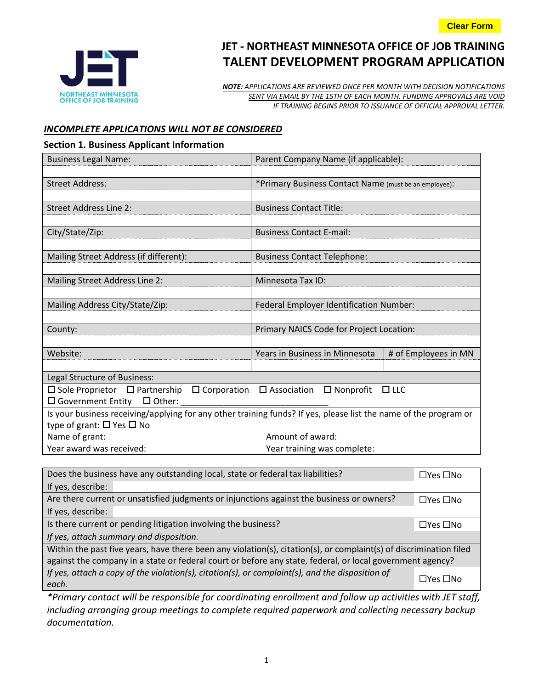

# **JET - NORTHEAST MINNESOTA OFFICE OF JOB TRAINING TALENT DEVELOPMENT PROGRAM APPLICATION**

*NOTE: APPLICATIONS ARE REVIEWED ONCE PER MONTH WITH DECISION NOTIFICATIONS SENT VIA EMAIL BY THE 15TH OF EACH MONTH. FUNDING APPROVALS ARE VOID IF TRAINING BEGINS PRIOR TO ISSUANCE OF OFFICIAL APPROVAL LETTER.*

# *INCOMPLETE APPLICATIONS WILL NOT BE CONSIDERED*

#### **Section 1. Business Applicant Information**

| <b>Business Legal Name:</b>                                                                                          | Parent Company Name (if applicable):                  |                      |  |
|----------------------------------------------------------------------------------------------------------------------|-------------------------------------------------------|----------------------|--|
|                                                                                                                      |                                                       |                      |  |
| <b>Street Address:</b>                                                                                               | *Primary Business Contact Name (must be an employee): |                      |  |
|                                                                                                                      |                                                       |                      |  |
| <b>Street Address Line 2:</b>                                                                                        | <b>Business Contact Title:</b>                        |                      |  |
|                                                                                                                      |                                                       |                      |  |
| City/State/Zip:                                                                                                      | <b>Business Contact E-mail:</b>                       |                      |  |
|                                                                                                                      |                                                       |                      |  |
| Mailing Street Address (if different):                                                                               | <b>Business Contact Telephone:</b>                    |                      |  |
|                                                                                                                      | Minnesota Tax ID:                                     |                      |  |
| Mailing Street Address Line 2:                                                                                       |                                                       |                      |  |
| Mailing Address City/State/Zip:                                                                                      | Federal Employer Identification Number:               |                      |  |
|                                                                                                                      |                                                       |                      |  |
| County:                                                                                                              | Primary NAICS Code for Project Location:              |                      |  |
|                                                                                                                      |                                                       |                      |  |
| Website:                                                                                                             | Years in Business in Minnesota                        | # of Employees in MN |  |
|                                                                                                                      |                                                       |                      |  |
| Legal Structure of Business:                                                                                         |                                                       |                      |  |
| $\Box$ Corporation $\Box$ Association<br>$\Box$ Nonprofit<br>$\Box$ Sole Proprietor $\Box$ Partnership<br>$\Box$ LLC |                                                       |                      |  |
| $\square$ Government Entity<br>$\Box$ Other:                                                                         |                                                       |                      |  |
| Is your business receiving/applying for any other training funds? If yes, please list the name of the program or     |                                                       |                      |  |
| type of grant: $\Box$ Yes $\Box$ No                                                                                  |                                                       |                      |  |
| Name of grant:                                                                                                       | Amount of award:                                      |                      |  |
| Year award was received:                                                                                             | Year training was complete:                           |                      |  |

| Does the business have any outstanding local, state or federal tax liabilities?                                    | $\Box$ Yes $\Box$ No |  |  |  |
|--------------------------------------------------------------------------------------------------------------------|----------------------|--|--|--|
| If yes, describe:                                                                                                  |                      |  |  |  |
| Are there current or unsatisfied judgments or injunctions against the business or owners?                          |                      |  |  |  |
| If yes, describe:                                                                                                  |                      |  |  |  |
| Is there current or pending litigation involving the business?                                                     |                      |  |  |  |
| If yes, attach summary and disposition.                                                                            |                      |  |  |  |
| Within the past five years, have there been any violation(s), citation(s), or complaint(s) of discrimination filed |                      |  |  |  |
| against the company in a state or federal court or before any state, federal, or local government agency?          |                      |  |  |  |
| If yes, attach a copy of the violation(s), citation(s), or complaint(s), and the disposition of<br>each.           |                      |  |  |  |

*\*Primary contact will be responsible for coordinating enrollment and follow up activities with JET staff, including arranging group meetings to complete required paperwork and collecting necessary backup documentation.*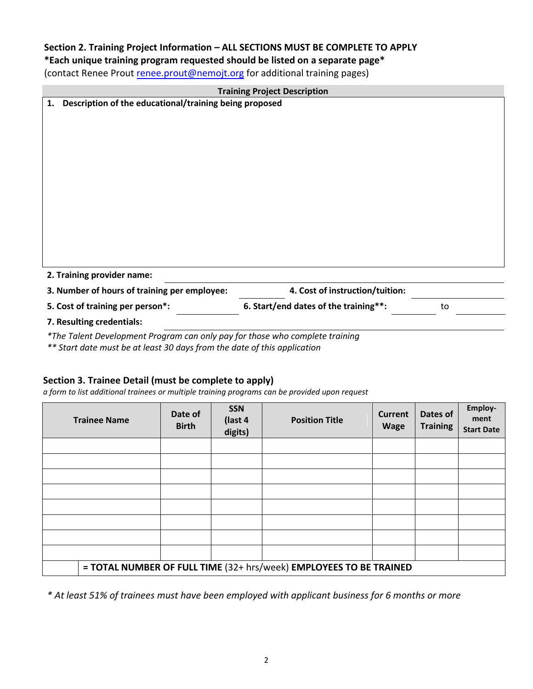## **Section 2. Training Project Information – ALL SECTIONS MUST BE COMPLETE TO APPLY**

# **\*Each unique training program requested should be listed on a separate page\***

(contact Renee Prout renee.prout@nemojt.org for additional training pages)

| <b>Training Project Description</b>                          |                                       |    |
|--------------------------------------------------------------|---------------------------------------|----|
| Description of the educational/training being proposed<br>1. |                                       |    |
|                                                              |                                       |    |
|                                                              |                                       |    |
|                                                              |                                       |    |
|                                                              |                                       |    |
|                                                              |                                       |    |
|                                                              |                                       |    |
|                                                              |                                       |    |
|                                                              |                                       |    |
|                                                              |                                       |    |
|                                                              |                                       |    |
|                                                              |                                       |    |
|                                                              |                                       |    |
| 2. Training provider name:                                   |                                       |    |
| 3. Number of hours of training per employee:                 | 4. Cost of instruction/tuition:       |    |
| 5. Cost of training per person*:                             | 6. Start/end dates of the training**: | to |
| 7. Resulting credentials:                                    |                                       |    |

*\*The Talent Development Program can only pay for those who complete training*

*\*\* Start date must be at least 30 days from the date of this application*

# **Section 3. Trainee Detail (must be complete to apply)**

*a form to list additional trainees or multiple training programs can be provided upon request*

| <b>Trainee Name</b>                                                | Date of<br><b>Birth</b> | <b>SSN</b><br>(last 4<br>digits) | <b>Position Title</b> | <b>Current</b><br><b>Wage</b> | Dates of<br><b>Training</b> | Employ-<br>ment<br><b>Start Date</b> |
|--------------------------------------------------------------------|-------------------------|----------------------------------|-----------------------|-------------------------------|-----------------------------|--------------------------------------|
|                                                                    |                         |                                  |                       |                               |                             |                                      |
|                                                                    |                         |                                  |                       |                               |                             |                                      |
|                                                                    |                         |                                  |                       |                               |                             |                                      |
|                                                                    |                         |                                  |                       |                               |                             |                                      |
|                                                                    |                         |                                  |                       |                               |                             |                                      |
|                                                                    |                         |                                  |                       |                               |                             |                                      |
|                                                                    |                         |                                  |                       |                               |                             |                                      |
|                                                                    |                         |                                  |                       |                               |                             |                                      |
| = TOTAL NUMBER OF FULL TIME (32+ hrs/week) EMPLOYEES TO BE TRAINED |                         |                                  |                       |                               |                             |                                      |

*\* At least 51% of trainees must have been employed with applicant business for 6 months or more*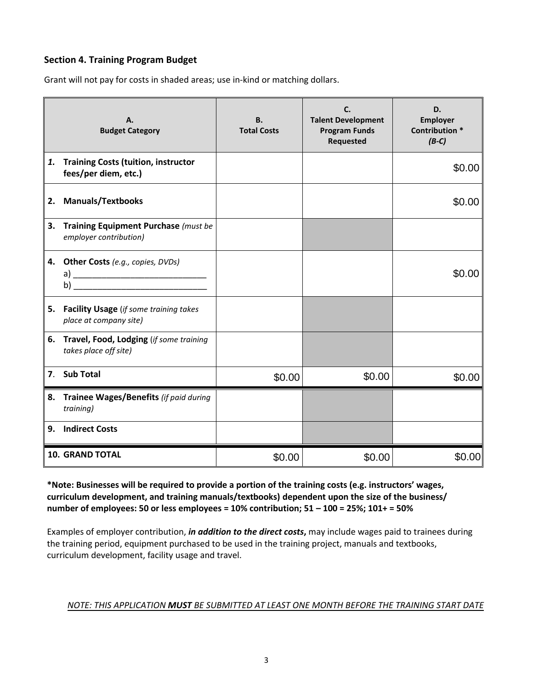## **Section 4. Training Program Budget**

Grant will not pay for costs in shaded areas; use in-kind or matching dollars.

|    | A.<br><b>Budget Category</b>                                        | <b>B.</b><br><b>Total Costs</b> | C.<br><b>Talent Development</b><br><b>Program Funds</b><br>Requested | D.<br>Employer<br><b>Contribution *</b><br>$(B-C)$ |
|----|---------------------------------------------------------------------|---------------------------------|----------------------------------------------------------------------|----------------------------------------------------|
| 1. | <b>Training Costs (tuition, instructor</b><br>fees/per diem, etc.)  |                                 |                                                                      | \$0.00                                             |
| 2. | <b>Manuals/Textbooks</b>                                            |                                 |                                                                      | \$0.00                                             |
| 3. | Training Equipment Purchase (must be<br>employer contribution)      |                                 |                                                                      |                                                    |
| 4. | <b>Other Costs</b> (e.g., copies, DVDs)                             |                                 |                                                                      | \$0.00                                             |
|    | 5. Facility Usage (if some training takes<br>place at company site) |                                 |                                                                      |                                                    |
| 6. | Travel, Food, Lodging (if some training<br>takes place off site)    |                                 |                                                                      |                                                    |
|    | 7. Sub Total                                                        | \$0.00                          | \$0.00                                                               | \$0.00                                             |
| 8. | Trainee Wages/Benefits (if paid during<br>training)                 |                                 |                                                                      |                                                    |
| 9. | <b>Indirect Costs</b>                                               |                                 |                                                                      |                                                    |
|    | <b>10. GRAND TOTAL</b>                                              | \$0.00                          | \$0.00                                                               | \$0.00                                             |

**\*Note: Businesses will be required to provide a portion of the training costs (e.g. instructors' wages, curriculum development, and training manuals/textbooks) dependent upon the size of the business/ number of employees: 50 or less employees = 10% contribution; 51 – 100 = 25%; 101+ = 50%**

Examples of employer contribution, *in addition to the direct costs***,** may include wages paid to trainees during the training period, equipment purchased to be used in the training project, manuals and textbooks, curriculum development, facility usage and travel.

## *NOTE: THIS APPLICATION MUST BE SUBMITTED AT LEAST ONE MONTH BEFORE THE TRAINING START DATE*